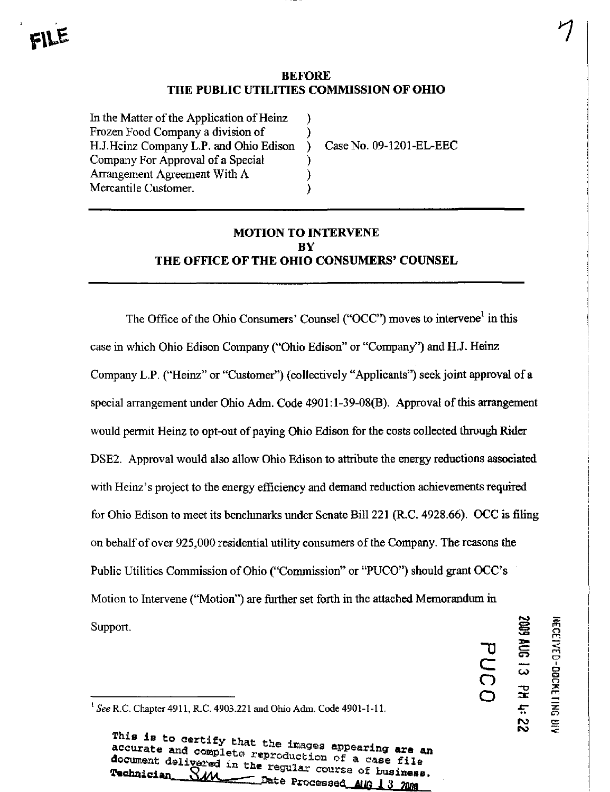## BEFORE THE PUBLIC UTILITIES COMMISSION OF OHIO

 $\lambda$ 

)

In the Matter of the Application of Heinz Frozen Food Company a division of H.J.Heinz Company L.P. and Ohio Edison Company For Approval of a Special Arrangement Agreement With A Mercantile Customer.

Case No. 09-1201-EL-EEC

# MOTION TO INTERVENE BY THE OFHCE OF THE OHIO CONSUMERS' COUNSEL

The Office of the Ohio Consumers' Counsel ("OCC") moves to intervene<sup>1</sup> in this case in which Ohio Edison Company ("Ohio Edison" or "Company") and H.J. Heinz Company L.P. ("Heinz" or "Customer") (collectively "Applicants") seek joint approval of a special arrangement under Ohio Adm. Code 4901:1-39-08(B). Approval of this arrangement would permit Heinz to opt-out of paying Ohio Edison for the costs collected through Rider DSE2. Approval would also allow Ohio Edison to attribute the energy reductions associated with Heinz's project to the energy efficiency and demand reduction achievements required for Ohio Edison to meet its benchmarks under Senate Bill 221 (R.C. 4928.66). OCC is fifing on behalf of over 925,000 residential utility consumers of the Company. The reasons the Public Utilities Commission of Ohio ("Commission" or "PUCO") should grant OCC's Motion to Intervene ("Motion") are further set forth in the attached Memorandum in Support.  $\blacksquare$   $\blacksquare$ 

i **Doc** 

 $\tilde{\varepsilon}$ 

 $\tilde{\mathsf{C}}$ 

 $\overline{C}$ 

' See R.C. Chapter 4911, R.C. 4903.221 and Ohio Adm. Code 4901-1-11.

This is to certify that the images appearing are an accurate and complete reproduction of a case file document delivered in the regular course of business. Date Processed AUG 13 2000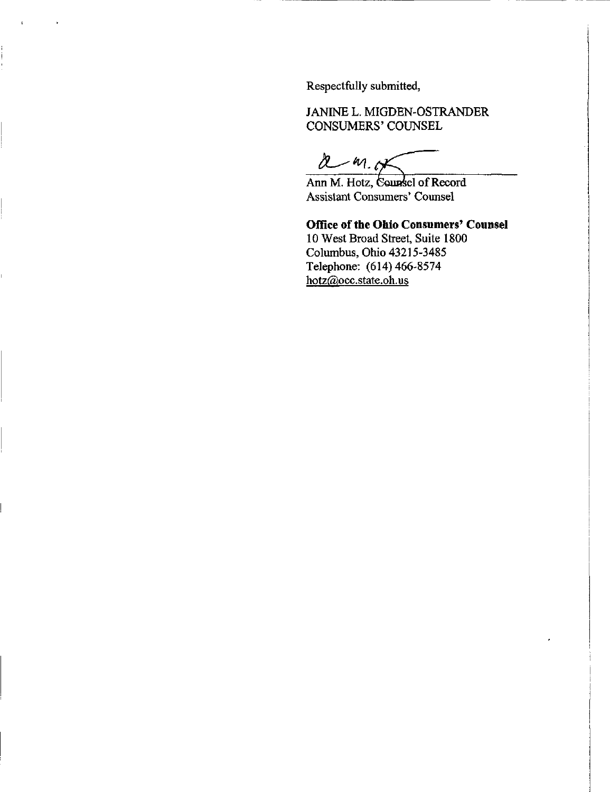Respectfully submitted,

JANINE L. MIGDEN-OSTRANDER CONSUMERS' COUNSEL

 $2 - m.05$ 

Ann M. Hotz, Counsel of Record Assistant Consumers' Counsel

## Office of the Ohio Consumers' Counsel

10 West Broad Street, Suite 1800 Columbus, Ohio 43215-3485 Telephone: (614) 466-8574 [hotz@occ.state.oh.us](mailto:hotz@occ.state.oh.us)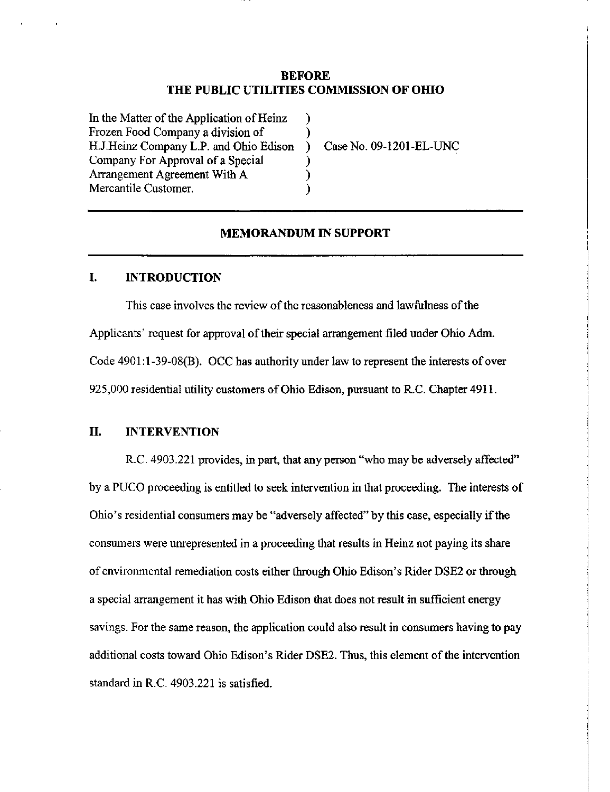## **BEFORE** THE PUBLIC UTILITIES COMMISSION OF OHIO

λ Υ  $\rightarrow$ ℩  $\mathcal{C}$  $\lambda$ 

In the Matter of the Application of Heinz Frozen Food Company a division of H. J.Heinz Company L.P. and Ohio Edison Company For Approval of a Special Arrangement Agreement With A Mercantile Customer.

Case No. 09-1201-EL-UNC

## MEMORANDUM IN SUPPORT

#### I. INTRODUCTION

This case involves the review of the reasonableness and lawfulness of the Applicants' request for approval of their special arrangement filed under Ohio Adm. Code 4901:l-39-08(B). OCC has authority under law to represent the interests of over 925,000 residential utility customers of Ohio Edison, pursuant to R.C. Chapter 4911.

## IL INTERVENTION

R.C. 4903.221 provides, in part, that any person "who may be adversely affected" by a PUCO proceeding is entitled to seek intervention in that proceeding. The interests of Ohio's residential consumers may be "adversely affected" by this case, especially if the consumers were unrepresented in a proceeding that results in Heinz not paying its share of environmental remediation costs either through Ohio Edison's Rider DSE2 or through a special arrangement it has with Ohio Edison that does not result in sufficient energy savings. For the same reason, the application could also result in consumers having to pay additional costs toward Ohio Edison's Rider DSE2. Thus, this element of the intervention standard in R.C. 4903.221 is satisfied.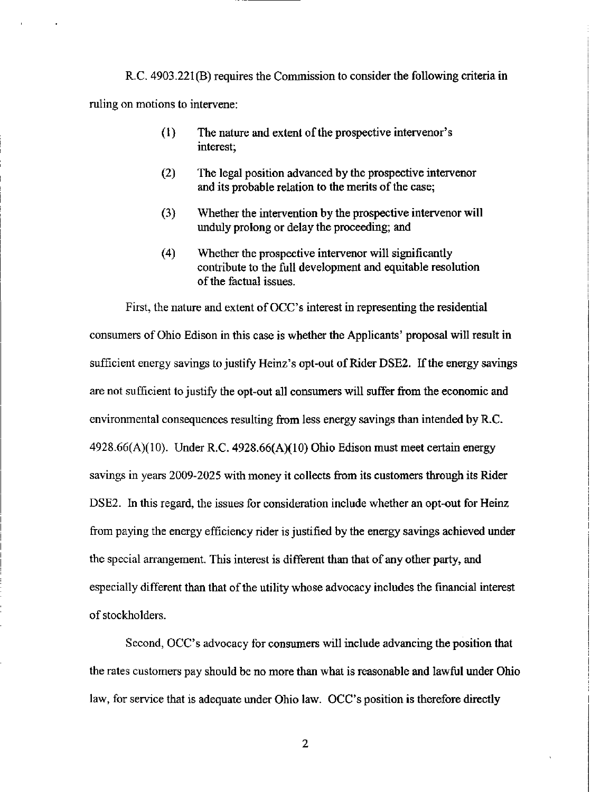R.C. 4903.221(B) requires the Commission to consider the following criteria in ruling on motions to intervene:

- (1) The nature and extent of the prospective intervenor's interest;
- (2) The legal position advanced by the prospective intervenor and its probable relation to the merits of the case;
- (3) Whether the intervention by the prospective intervenor will unduly prolong or delay the proceeding; and
- (4) Whether the prospective intervenor will significantly contribute to the fiill development and equitable resolution of the factual issues.

First, the nature and extent of OCC's interest in representing the residential consumers of Ohio Edison in this case is whether the Applicants' proposal will result in sufficient energy savings to justify Heinz's opt-out of Rider DSE2. If the energy savings are not sufficient to justify the opt-out all consumers will suffer from the economic and environmental consequences resulting from less energy savings than intended by R.C.  $4928.66(A)(10)$ . Under R.C.  $4928.66(A)(10)$  Ohio Edison must meet certain energy savings in years 2009-2025 with money it collects from its customers through its Rider DSE2. In this regard, the issues for consideration include whether an opt-out for Heinz from paying the energy efficiency rider is justified by the energy savings achieved under the special arrangement. This interest is different than that of any other party, and especially different than that of the utility whose advocacy includes the financial interest of stockholders.

Second, OCC's advocacy for consumers will include advancing the position that the rates customers pay should be no more than what is reasonable and lawful under Ohio law, for service that is adequate under Ohio law. OCC's position is therefore directly

 $\overline{2}$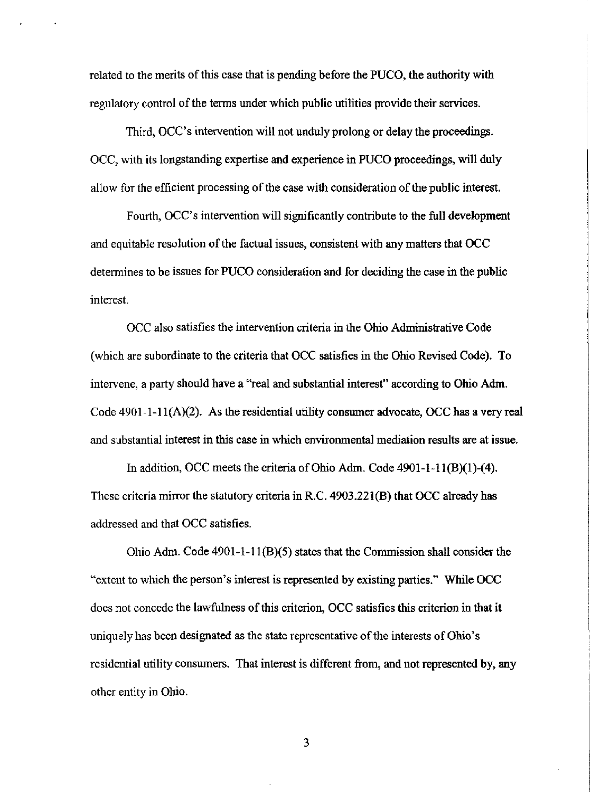related to the merits of this case that is pending before the PUCO, the authority with regulatory control of the terms under which public utihties provide their services.

Third, OCC's intervention will not unduly prolong or delay the proceedings. OCC, with its longstanding expertise and experience in PUCO proceedings, will duly allow for the efficient processing of the case with consideration of the public interest.

Fourth, OCC's intervention will significantly contribute to the full development and equitable resolution of the factual issues, consistent with any matters that OCC determines to be issues for PUCO consideration and for deciding the case in the pubtic interest.

OCC also satisfies the intervention criteria in the Ohio Administrative Code (which are subordinate to the criteria that OCC satisfies in the Ohio Revised Code). To intervene, a party should have a "real and substantial interest" according to Ohio Adm. Code  $4901-1-11(A)(2)$ . As the residential utility consumer advocate, OCC has a very real and substantial interest in this case in which environmental mediation results are at issue.

In addition, OCC meets the criteria of Ohio Adm. Code  $4901-I-11(B)(1)-(4)$ . These criteria mirror the statutory criteria in R.C. 4903.221(B) that OCC already has addressed and that OCC satisfies.

Ohio Adm. Code 4901-1-11(B)(5) states that the Commission shall consider the "extent to which the person's interest is represented by existing parties." While OCC does not concede the lawfulness ofthis criterion, OCC satisfies this criterion in that it uniquely has been designated as the state representative of the interests of Ohio's residential utility consumers. That interest is different from, and not represented by, any other entity in Ohio.

3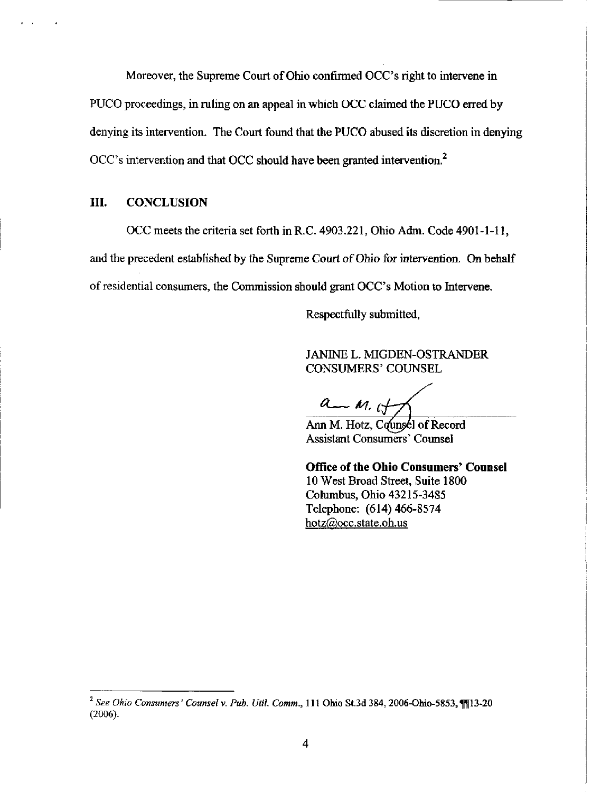Moreover, the Supreme Court of Ohio confirmed OCC's right to intervene in PUCO proceedings, in ruling on an appeal in which OCC claimed the PUCO erred by denying its intervention. The Court found that the PUCO abused its discretion in denying  $OCC$ 's intervention and that OCC should have been granted intervention.<sup>2</sup>

### HI. CONCLUSION

OCC meets the criteria set forth in R.C. 4903.221, Ohio Adm. Code 4901-1-11, and the precedent established by the Supreme Court of Ohio for intervention. On behalf of residential consumers, the Commission should grant OCC's Motion to Intervene.

Respectfully submitted,

JANINE L. MIGDEN-OSTRANDER CONSUMERS' COUNSEL

 $a - m$ , if

Ann M. Hotz, Counsel of Record Assistant Consumers' Counsel

Office of the Ohio Consumers' Counsel 10 West Broad Street, Suite 1800 Columbus, Ohio 43215-3485 Telephone: (614) 466-8574 hotz@occ.state.oh.us

 $^2$  See Ohio Consumers' Counsel v. Pub. Util. Comm., 111 Ohio St.3d 384, 2006-Ohio-5853, 1113-20 (2006).